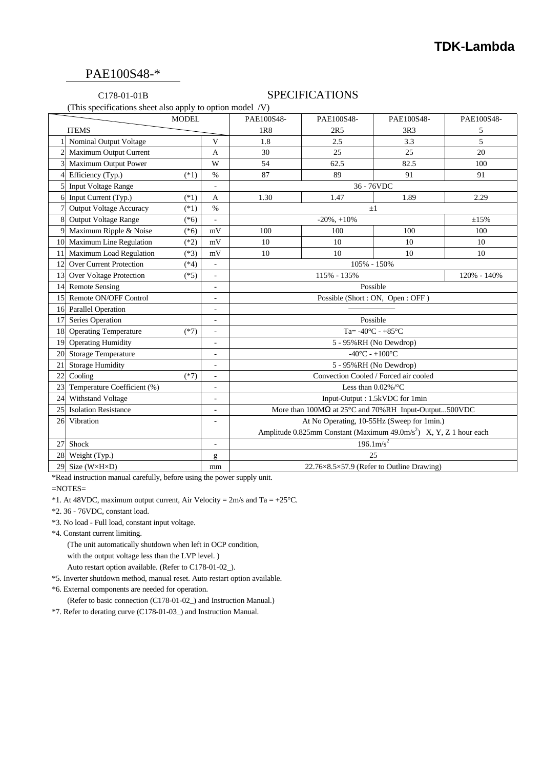# PAE100S48-\*

### C178-01-01B SPECIFICATIONS

(This specifications sheet also apply to option model /V)

|                  |                                   | <b>MODEL</b> |                              | PAE100S48-                                                                     | PAE100S48-  | PAE100S48-                                            | PAE100S48-  |
|------------------|-----------------------------------|--------------|------------------------------|--------------------------------------------------------------------------------|-------------|-------------------------------------------------------|-------------|
|                  | <b>ITEMS</b>                      |              |                              | 1R8                                                                            | 2R5         | 3R3                                                   | 5           |
|                  | Nominal Output Voltage            |              | V                            | 1.8                                                                            | 2.5         | 3.3                                                   | 5           |
|                  | 2 Maximum Output Current          |              | $\overline{A}$               | 30                                                                             | 25          | 25                                                    | 20          |
|                  | 3 Maximum Output Power            |              | W                            | 54                                                                             | 62.5        | 82.5                                                  | 100         |
|                  | Efficiency (Typ.)                 | $(*1)$       | $\%$                         | 87                                                                             | 89          | 91                                                    | 91          |
|                  | 5 Input Voltage Range             |              |                              | 36 - 76VDC                                                                     |             |                                                       |             |
|                  | 6 Input Current (Typ.)            | $(*1)$       | $\overline{A}$               | 1.30                                                                           | 1.47        | 1.89                                                  | 2.29        |
|                  | <b>Output Voltage Accuracy</b>    | $(*1)$       | $\%$                         | $\pm 1$                                                                        |             |                                                       |             |
|                  | 8 Output Voltage Range            | $(*6)$       | L,                           | $-20\%$ , $+10\%$<br>±15%                                                      |             |                                                       |             |
|                  | 9 Maximum Ripple & Noise          | $(*6)$       | mV                           | 100                                                                            | 100         | 100                                                   | 100         |
|                  | 10 Maximum Line Regulation        | $(*2)$       | mV                           | 10                                                                             | 10          | 10                                                    | 10          |
|                  | 11 Maximum Load Regulation        | $(*3)$       | mV                           | 10                                                                             | 10          | 10                                                    | 10          |
|                  | 12 Over Current Protection        | $(*4)$       | $\Box$                       | 105% - 150%                                                                    |             |                                                       |             |
|                  | 13 Over Voltage Protection        | $(*5)$       | $\qquad \qquad \blacksquare$ |                                                                                | 115% - 135% |                                                       | 120% - 140% |
|                  | 14 Remote Sensing                 |              | $\overline{a}$               | Possible                                                                       |             |                                                       |             |
|                  | 15 Remote ON/OFF Control          |              | ÷,                           | Possible (Short: ON, Open: OFF)                                                |             |                                                       |             |
|                  | 16 Parallel Operation             |              |                              |                                                                                |             |                                                       |             |
|                  | 17 Series Operation               |              | ÷,                           | Possible                                                                       |             |                                                       |             |
|                  | 18 Operating Temperature          | $(*7)$       | $\overline{\phantom{a}}$     | Ta= $-40^{\circ}$ C - $+85^{\circ}$ C                                          |             |                                                       |             |
|                  | 19 Operating Humidity             |              | $\overline{a}$               | 5 - 95%RH (No Dewdrop)                                                         |             |                                                       |             |
|                  | 20 Storage Temperature            |              | ÷,                           | $-40^{\circ}$ C - $+100^{\circ}$ C                                             |             |                                                       |             |
|                  | 21 Storage Humidity               |              | ä,                           | 5 - 95%RH (No Dewdrop)                                                         |             |                                                       |             |
|                  | 22 Cooling                        | $(*7)$       | ÷,                           | Convection Cooled / Forced air cooled                                          |             |                                                       |             |
|                  | 23 Temperature Coefficient (%)    |              | ÷,                           |                                                                                |             | Less than $0.02\%$ /°C                                |             |
|                  | 24 Withstand Voltage              |              | $\blacksquare$               | Input-Output: 1.5kVDC for 1min                                                 |             |                                                       |             |
|                  | 25 Isolation Resistance           |              |                              | More than 100MΩ at 25°C and 70%RH Input-Output500VDC                           |             |                                                       |             |
| 26               | Vibration                         |              | $\blacksquare$               | At No Operating, 10-55Hz (Sweep for 1min.)                                     |             |                                                       |             |
|                  |                                   |              |                              | Amplitude 0.825mm Constant (Maximum 49.0m/s <sup>2</sup> ) X, Y, Z 1 hour each |             |                                                       |             |
|                  | 27 Shock                          |              | ÷,                           | 196.1 m/s <sup>2</sup>                                                         |             |                                                       |             |
| 28 Weight (Typ.) |                                   |              | g                            | 25                                                                             |             |                                                       |             |
|                  | 29 Size (W $\times$ H $\times$ D) |              | mm                           |                                                                                |             | $22.76\times8.5\times57.9$ (Refer to Outline Drawing) |             |

\*Read instruction manual carefully, before using the power supply unit.

=NOTES=

\*1. At 48VDC, maximum output current, Air Velocity =  $2m/s$  and Ta =  $+25^{\circ}$ C.

\*2. 36 - 76VDC, constant load.

\*3. No load - Full load, constant input voltage.

\*4. Constant current limiting.

(The unit automatically shutdown when left in OCP condition,

with the output voltage less than the LVP level. )

Auto restart option available. (Refer to C178-01-02\_).

- \*5. Inverter shutdown method, manual reset. Auto restart option available.
- \*6. External components are needed for operation.

(Refer to basic connection (C178-01-02\_) and Instruction Manual.)

\*7. Refer to derating curve (C178-01-03\_) and Instruction Manual.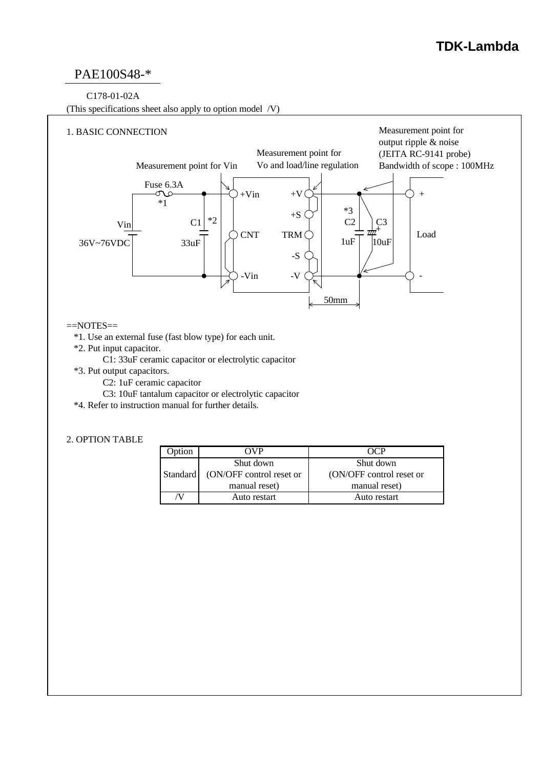# **TDK-Lambda**

# PAE100S48-\*

#### C178-01-02A

(This specifications sheet also apply to option model /V)



#### $=$ NOTES $=$

- \*1. Use an external fuse (fast blow type) for each unit.
- \*2. Put input capacitor.
	- C1: 33uF ceramic capacitor or electrolytic capacitor
- \*3. Put output capacitors.
	- C2: 1uF ceramic capacitor
	- C3: 10uF tantalum capacitor or electrolytic capacitor
- \*4. Refer to instruction manual for further details.

#### 2. OPTION TABLE

| <b>Option</b> | OVP                      | OCP                      |  |  |
|---------------|--------------------------|--------------------------|--|--|
|               | Shut down                | Shut down                |  |  |
| Standard      | (ON/OFF control reset or | (ON/OFF control reset or |  |  |
|               | manual reset)            | manual reset)            |  |  |
|               | Auto restart             | Auto restart             |  |  |